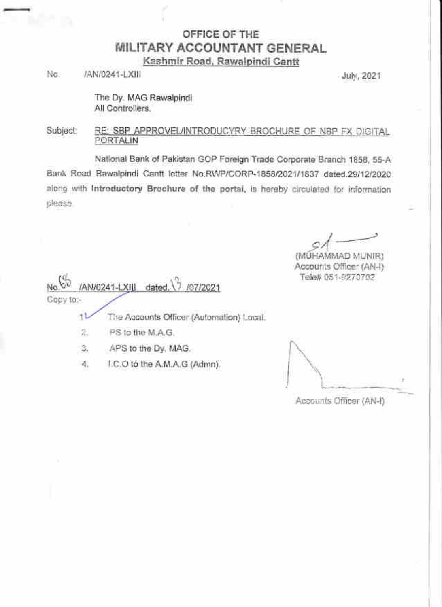## OFFICE OF THE MILITARY ACCOUNTANT GENERAL Kashmir Road, Rawalpindi Cantt

Na: /AN/0241-LXIII

July, 2021

The Dy. MAG Rawalpindi All Controllers.

RE: SBP APPROVEL/INTRODUCYRY BROCHURE OF NBP FX DIGITAL Subject: PORTALIN

National Bank of Pakistan GOP Foreign Trade Corporate Branch 1858, 55-A Bank Road Rawalpindi Cantt letter No.RWP/CORP-1858/2021/1837 dated.29/12/2020 along with Introductory Brochure of the portal, is hereby circulated for information clease

(MUHAMMAD MUNIR)

Accounts Officer (AN-I) Tele# 051-0270702

No CO /AN/0241-LXIII dated.  $7.107/2021$ Copy to:-

 $11$ The Accounts Officer (Automation) Local.

- 2. PS to the M.A.G.
- APS to the Dy. MAG. 3.

I.C.O to the A.M.A.G (Admn). 4.

Accounts Officer (AN-I)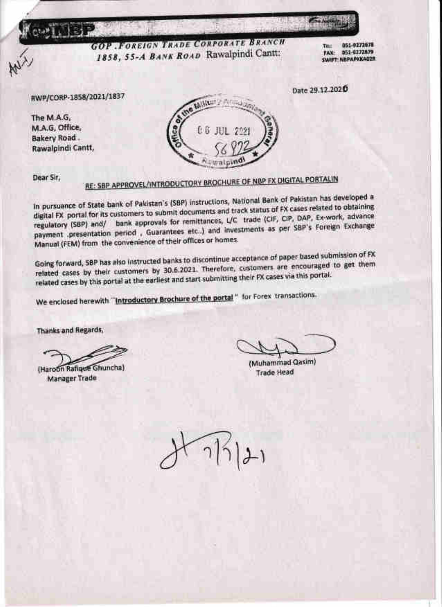

**GOP . FOREIGN TRADE CORPORATE BRANCH** 1858, 55-A BANK ROAD Rawalpindi Cantt:

051-9272678 Tm-053-0272679 FAX SWIFT: NBPAPKKA02R

Date 29.12.2020

RWP/CORP-1858/2021/1837

The M.A.G. M.A.G. Office, Bakery Road. Rawalpindi Cantt,



Dear Sir,

# **RE: SBP APPROVEL/INTRODUCTORY BROCHURE OF NBP FX DIGITAL PORTALIN**

In pursuance of State bank of Pakistan's (SBP) instructions, National Bank of Pakistan has developed a digital FX portal for its customers to submit documents and track status of FX cases related to obtaining regulatory (SBP) and/ bank approvals for remittances, L/C trade (CIF, CIP, DAP, Ex-work, advance payment .presentation period , Guarantees etc..) and investments as per SBP's Foreign Exchange Manual (FEM) from the convenience of their offices or homes.

Going forward, SBP has also instructed banks to discontinue acceptance of paper based submission of FX related cases by their customers by 30.6.2021. Therefore, customers are encouraged to get them related cases by this portal at the earliest and start submitting their FX cases via this portal.

We enclosed herewith "Introductory Brochure of the portal " for Forex transactions.

Thanks and Regards,

(Haroon Rafinde Ghuncha) Manager Trade

(Muhammad Qasim) **Trade Head**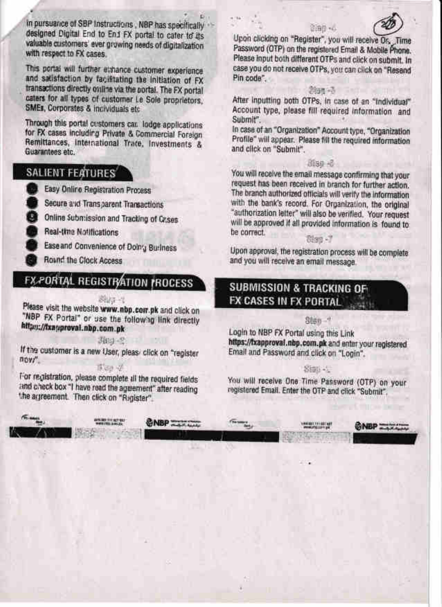in pursuance of SBP Instructions , NBP has specifically designed Digital End to End FX portal to cater to Us valuable customers' ever growing needs of digitalization with respect to FX cases.

This portal will further ethance customer experience and satisfaction by facilitating the initiation of FX transactions directly online via the cortal. The FX portal caters for all types of customer Le Sole proprietors, SMEs, Corporates & incividuals etc.

Through this portal customers can lodge applications for FX cases including Private & Commercial Foreign Remittances, International Trace, Investments & Guarantees etc.

## **SALIENT FEATURES**

Easy Online Registration Process

Secure and Transparent Transactions

C

Online Submission and Tracking of Cr.ses

Real-time Notifications

Ease and Convenience of Doln's Buriness

Round the Clock Access

# **FX-PORTAL REGISTRATION PROCESS**

#### 四位子

Please visit the website www.nbp.com.pk and click on "NBP FX Portal" or use the following link directly https://txauproval.nbp.com.pk

389-2

If the customer is a new User, pleas/ click on "register novi". **其可以** 

For registration, please complete ill the required fields and check box "I have read the agreement" after reading the actreement. Then click on "Rigister".

2.80-0 Upon clicking on "Register", you will receive Or, Time Password (OTP) on the registered Email & Mobile Phone. Please input both different OTPs and click on submit. In case you do not receive OTPs, you can click on "Resend Pin code".

 $2650 - 5$ 

After inputting both OTPs, in case of an "Individual" Account type, please fill required information and Submit"

In case of an "Organization" Account type, "Organization Profile" will appear. Please fill the required information and click on "Submit".

### **MSD +C**

You will receive the email message confirming that your request has been received in branch for further action. The branch authorized officials will verify the information with the bank's record. For Organization, the original "authorization letter" will also be verified. Your request will be approved if all provided information is found to be correct. 8190 -7

Upon approval, the registration process will be complete and you will receive an email message.

# **SUBMISSION & TRACKING OF EX CASES IN FX PORTAL**

Stan -

Login to NBP FX Portal using this Link https://txapproval.nbp.com.pk and enter your registered Email and Password and click on "Login".

Siati -

You will receive One Time Password (OTP) on your registered Email. Enter the OTP and click "Submit".

| <b>THIS MANAGER</b> | <b><i>MALBERT STEREO MADE</i></b><br><b>WHETHE 225ZA</b> | <b>@NBP</b> Activities | <b>NAMES OF STREET</b> | <b>ONBP</b> |
|---------------------|----------------------------------------------------------|------------------------|------------------------|-------------|
| R                   |                                                          |                        | WHEN THE THE           |             |